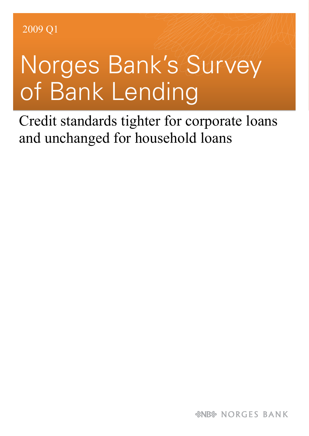## Norges Bank's Survey of Bank Lending

Credit standards tighter for corporate loans and unchanged for household loans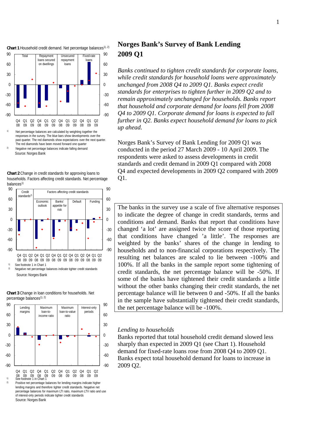

responses in the survey. The blue bars show developments over the past quarter. The red diamonds show expectations over the next quarter. The red diamonds have been moved forward one quarter Negative net percentage balances indicate falling demand

Source: Norges Bank





Source: Norges Bank



**Chart 3** Change in loan conditions for households. Net

Positive net percentage balances for lending margins indicate higher lending margins and therefore tighter credit standards. Negative net percentage balances for maximum LTI ratio, maximum LTV ratio and use of interest-only periods indicate tighter credit standards Source: Norges Bank

## **Norges Bank's Survey of Bank Lending 2009 Q1**

*Banks continued to tighten credit standards for corporate loans, while credit standards for household loans were approximately unchanged from 2008 Q4 to 2009 Q1. Banks expect credit standards for enterprises to tighten further in 2009 Q2 and to remain approximately unchanged for households. Banks report that household and corporate demand for loans fell from 2008 Q4 to 2009 Q1. Corporate demand for loans is expected to fall further in Q2. Banks expect household demand for loans to pick up ahead.* 

Norges Bank's Survey of Bank Lending for 2009 Q1 was conducted in the period 27 March 2009 - 10 April 2009. The respondents were asked to assess developments in credit standards and credit demand in 2009 Q1 compared with 2008 Q4 and expected developments in 2009 Q2 compared with 2009 Q1.

The banks in the survey use a scale of five alternative responses to indicate the degree of change in credit standards, terms and conditions and demand. Banks that report that conditions have changed 'a lot' are assigned twice the score of those reporting that conditions have changed 'a little'. The responses are weighted by the banks' shares of the change in lending to households and to non-financial corporations respectively. The resulting net balances are scaled to lie between -100% and 100%. If all the banks in the sample report some tightening of credit standards, the net percentage balance will be -50%. If some of the banks have tightened their credit standards a little without the other banks changing their credit standards, the net percentage balance will lie between 0 and -50%. If all the banks in the sample have substantially tightened their credit standards, the net percentage balance will be -100%.

## *Lending to households*

Banks reported that total household credit demand slowed less sharply than expected in 2009 Q1 (see Chart 1). Household demand for fixed-rate loans rose from 2008 Q4 to 2009 Q1. Banks expect total household demand for loans to increase in 2009 Q2.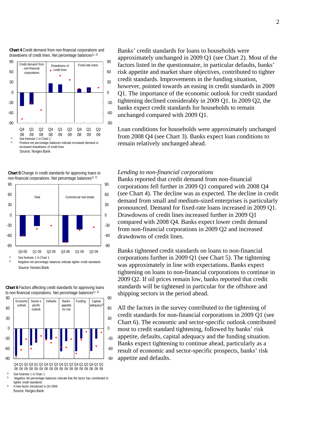**Chart 4** Credit demand from non-financial corporations and drawdowns of credit lines. Net percentage balances<sup>1), 2)</sup>



-90 -60 -30  $\theta$ 30 60 90  $-90$ -60 -30  $\Omega$ 30 60 90 Total Commercial real estate non-financial corporations. Net percentage balances<sup>1), 2)</sup>

**Chart 5** Change in credit standards for approving loans to

Q4 08 Q1 09 Q2 09 Q4 08 Q1 09 Q2 09

Source: Norges Bank <sup>1)</sup> See footnote 1 in Chart 1<br><sup>2)</sup> Negative net percentage balances indicate tighter credit standards

**Chart 6** Factors affecting credit standards for approving loans



Q4 Q1 Q2 Q4 Q1 Q2 Q4 Q1 Q2 Q4 Q1 Q2 Q4 Q1 Q2 Q4 Q1 Q2 08 09 09 08 09 09 08 09 09 09 09 09 09 09 09 09 09 09 09

See footnote 1 in Chart 1<br>Negative net percentage balances indicate that the factor has contributed to tighter credit standards

Source: Norges Bank 3) A new factor introduced in Q4 2008 Banks' credit standards for loans to households were approximately unchanged in 2009 Q1 (see Chart 2). Most of the factors listed in the questionnaire, in particular defaults, banks' risk appetite and market share objectives, contributed to tighter credit standards. Improvements in the funding situation, however, pointed towards an easing in credit standards in 2009 Q1. The importance of the economic outlook for credit standard tightening declined considerably in 2009 Q1. In 2009 Q2, the banks expect credit standards for households to remain unchanged compared with 2009 Q1.

Loan conditions for households were approximately unchanged from 2008 Q4 (see Chart 3). Banks expect loan conditions to remain relatively unchanged ahead.

## *Lending to non-financial corporations*

Banks reported that credit demand from non-financial corporations fell further in 2009 Q1 compared with 2008 Q4 (see Chart 4). The decline was as expected. The decline in credit demand from small and medium-sized enterprises is particularly pronounced. Demand for fixed-rate loans increased in 2009 Q1. Drawdowns of credit lines increased further in 2009 Q1 compared with 2008 Q4. Banks expect lower credit demand from non-financial corporations in 2009 Q2 and increased drawdowns of credit lines.

Banks tightened credit standards on loans to non-financial corporations further in 2009 Q1 (see Chart 5). The tightening was approximately in line with expectations. Banks expect tightening on loans to non-financial corporations to continue in 2009 Q2. If oil prices remain low, banks reported that credit standards will be tightened in particular for the offshore and shipping sectors in the period ahead.

All the factors in the survey contributed to the tightening of credit standards for non-financial corporations in 2009 Q1 (see Chart 6). The economic and sector-specific outlook contributed most to credit standard tightening, followed by banks' risk appetite, defaults, capital adequacy and the funding situation. Banks expect tightening to continue ahead, particularly as a result of economic and sector-specific prospects, banks' risk appetite and defaults.